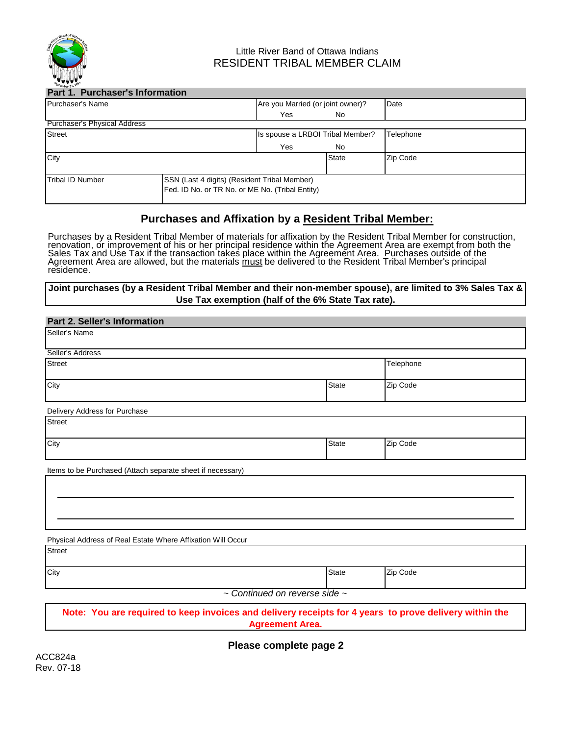

# Little River Band of Ottawa Indians RESIDENT TRIBAL MEMBER CLAIM

| Part 1. Purchaser's Information     |                                                 |                                   |              |           |  |
|-------------------------------------|-------------------------------------------------|-----------------------------------|--------------|-----------|--|
| Purchaser's Name                    |                                                 | Are you Married (or joint owner)? |              | Date      |  |
|                                     |                                                 | Yes                               | No.          |           |  |
| <b>Purchaser's Physical Address</b> |                                                 |                                   |              |           |  |
| <b>Street</b>                       |                                                 | Is spouse a LRBOI Tribal Member?  |              | Telephone |  |
|                                     |                                                 | Yes                               | No.          |           |  |
| City                                |                                                 |                                   | <b>State</b> | Zip Code  |  |
|                                     |                                                 |                                   |              |           |  |
| <b>Tribal ID Number</b>             | SSN (Last 4 digits) (Resident Tribal Member)    |                                   |              |           |  |
|                                     | Fed. ID No. or TR No. or ME No. (Tribal Entity) |                                   |              |           |  |
|                                     |                                                 |                                   |              |           |  |

# **Purchases and Affixation by a Resident Tribal Member:**

Purchases by a Resident Tribal Member of materials for affixation by the Resident Tribal Member for construction, renovation, or improvement of his or her principal residence within the Agreement Area are exempt from both the Sales Tax and Use Tax if the transaction takes place within the Agreement Area. Purchases outside of the<br>Agreement Area are allowed, but the materials <u>must</u> be delivered to the Resident Tribal Member's principal<br>residenc

## **Joint purchases (by a Resident Tribal Member and their non-member spouse), are limited to 3% Sales Tax & Use Tax exemption (half of the 6% State Tax rate).**

| <b>Part 2. Seller's Information</b>                                                                                              |  |              |           |  |  |  |  |
|----------------------------------------------------------------------------------------------------------------------------------|--|--------------|-----------|--|--|--|--|
| Seller's Name                                                                                                                    |  |              |           |  |  |  |  |
| Seller's Address                                                                                                                 |  |              |           |  |  |  |  |
| <b>Street</b>                                                                                                                    |  |              | Telephone |  |  |  |  |
| City                                                                                                                             |  | <b>State</b> | Zip Code  |  |  |  |  |
| Delivery Address for Purchase                                                                                                    |  |              |           |  |  |  |  |
| <b>Street</b>                                                                                                                    |  |              |           |  |  |  |  |
| City                                                                                                                             |  | <b>State</b> | Zip Code  |  |  |  |  |
| Items to be Purchased (Attach separate sheet if necessary)                                                                       |  |              |           |  |  |  |  |
|                                                                                                                                  |  |              |           |  |  |  |  |
|                                                                                                                                  |  |              |           |  |  |  |  |
|                                                                                                                                  |  |              |           |  |  |  |  |
| Physical Address of Real Estate Where Affixation Will Occur                                                                      |  |              |           |  |  |  |  |
| <b>Street</b>                                                                                                                    |  |              |           |  |  |  |  |
| City                                                                                                                             |  | <b>State</b> | Zip Code  |  |  |  |  |
| $\sim$ Continued on reverse side $\sim$                                                                                          |  |              |           |  |  |  |  |
| Note: You are required to keep invoices and delivery receipts for 4 years to prove delivery within the<br><b>Agreement Area.</b> |  |              |           |  |  |  |  |

**Please complete page 2**